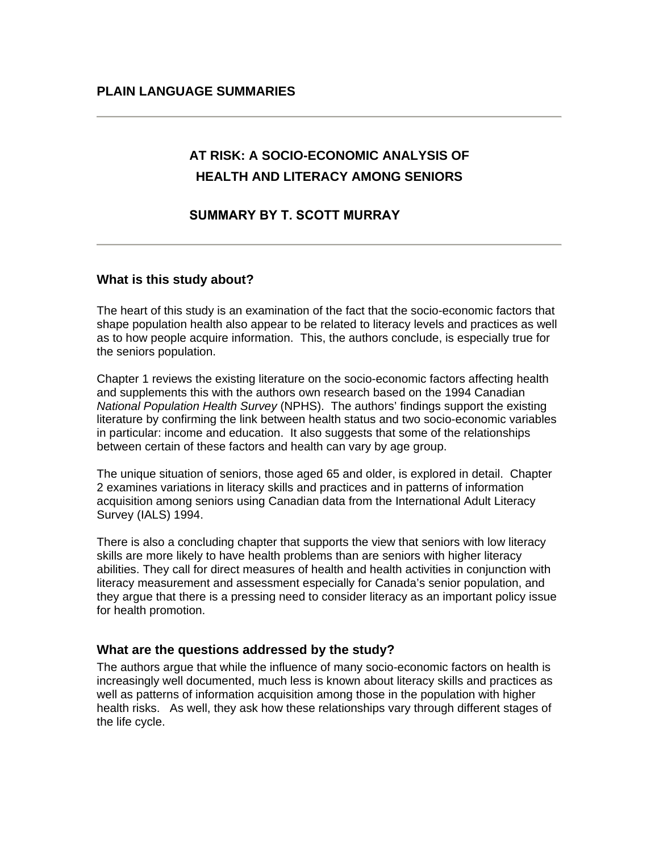# **AT RISK: A SOCIO-ECONOMIC ANALYSIS OF HEALTH AND LITERACY AMONG SENIORS**

# **SUMMARY BY T. SCOTT MURRAY**

## **What is this study about?**

The heart of this study is an examination of the fact that the socio-economic factors that shape population health also appear to be related to literacy levels and practices as well as to how people acquire information. This, the authors conclude, is especially true for the seniors population.

Chapter 1 reviews the existing literature on the socio-economic factors affecting health and supplements this with the authors own research based on the 1994 Canadian *National Population Health Survey* (NPHS). The authors' findings support the existing literature by confirming the link between health status and two socio-economic variables in particular: income and education. It also suggests that some of the relationships between certain of these factors and health can vary by age group.

The unique situation of seniors, those aged 65 and older, is explored in detail. Chapter 2 examines variations in literacy skills and practices and in patterns of information acquisition among seniors using Canadian data from the International Adult Literacy Survey (IALS) 1994.

There is also a concluding chapter that supports the view that seniors with low literacy skills are more likely to have health problems than are seniors with higher literacy abilities. They call for direct measures of health and health activities in conjunction with literacy measurement and assessment especially for Canada's senior population, and they argue that there is a pressing need to consider literacy as an important policy issue for health promotion.

#### **What are the questions addressed by the study?**

The authors argue that while the influence of many socio-economic factors on health is increasingly well documented, much less is known about literacy skills and practices as well as patterns of information acquisition among those in the population with higher health risks. As well, they ask how these relationships vary through different stages of the life cycle.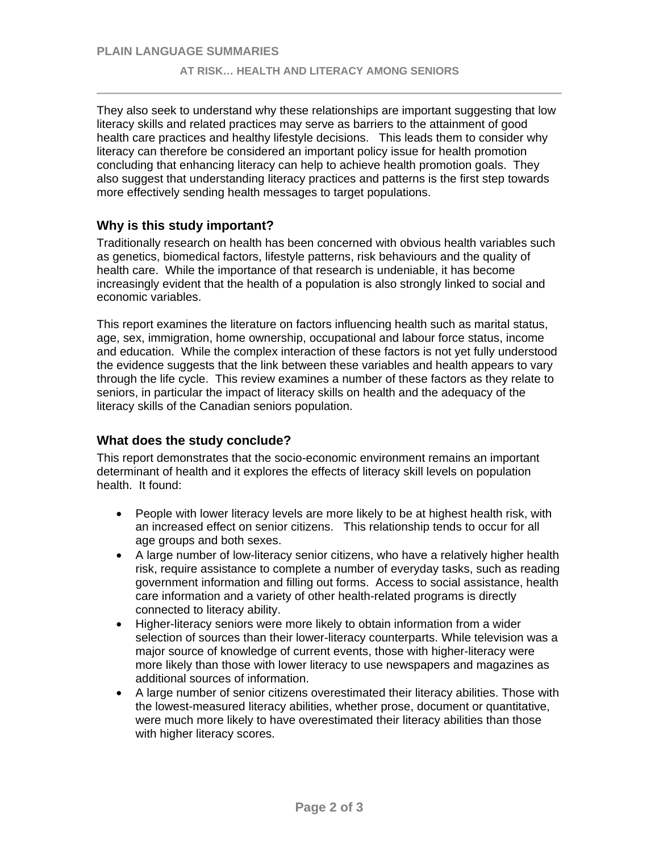They also seek to understand why these relationships are important suggesting that low literacy skills and related practices may serve as barriers to the attainment of good health care practices and healthy lifestyle decisions. This leads them to consider why literacy can therefore be considered an important policy issue for health promotion concluding that enhancing literacy can help to achieve health promotion goals. They also suggest that understanding literacy practices and patterns is the first step towards more effectively sending health messages to target populations.

## **Why is this study important?**

Traditionally research on health has been concerned with obvious health variables such as genetics, biomedical factors, lifestyle patterns, risk behaviours and the quality of health care. While the importance of that research is undeniable, it has become increasingly evident that the health of a population is also strongly linked to social and economic variables.

This report examines the literature on factors influencing health such as marital status, age, sex, immigration, home ownership, occupational and labour force status, income and education. While the complex interaction of these factors is not yet fully understood the evidence suggests that the link between these variables and health appears to vary through the life cycle. This review examines a number of these factors as they relate to seniors, in particular the impact of literacy skills on health and the adequacy of the literacy skills of the Canadian seniors population.

#### **What does the study conclude?**

This report demonstrates that the socio-economic environment remains an important determinant of health and it explores the effects of literacy skill levels on population health. It found:

- People with lower literacy levels are more likely to be at highest health risk, with an increased effect on senior citizens. This relationship tends to occur for all age groups and both sexes.
- A large number of low-literacy senior citizens, who have a relatively higher health risk, require assistance to complete a number of everyday tasks, such as reading government information and filling out forms. Access to social assistance, health care information and a variety of other health-related programs is directly connected to literacy ability.
- Higher-literacy seniors were more likely to obtain information from a wider selection of sources than their lower-literacy counterparts. While television was a major source of knowledge of current events, those with higher-literacy were more likely than those with lower literacy to use newspapers and magazines as additional sources of information.
- A large number of senior citizens overestimated their literacy abilities. Those with the lowest-measured literacy abilities, whether prose, document or quantitative, were much more likely to have overestimated their literacy abilities than those with higher literacy scores.